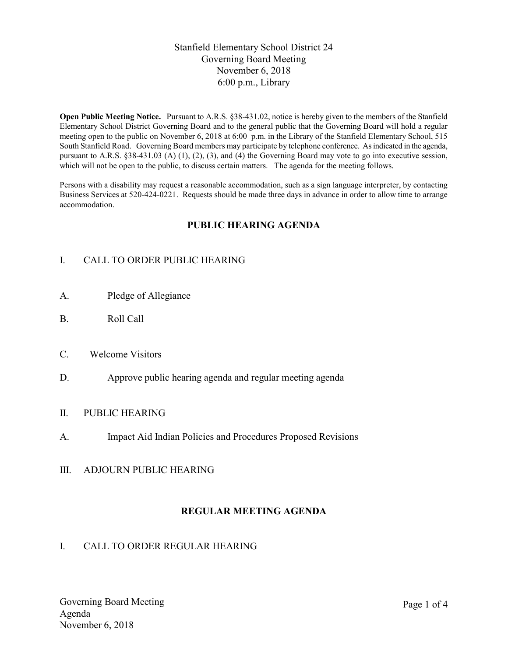## Stanfield Elementary School District 24 Governing Board Meeting November 6, 2018 6:00 p.m., Library

Open Public Meeting Notice. Pursuant to A.R.S. §38-431.02, notice is hereby given to the members of the Stanfield Elementary School District Governing Board and to the general public that the Governing Board will hold a regular meeting open to the public on November 6, 2018 at 6:00 p.m. in the Library of the Stanfield Elementary School, 515 South Stanfield Road. Governing Board members may participate by telephone conference. As indicated in the agenda, pursuant to A.R.S. §38-431.03 (A) (1), (2), (3), and (4) the Governing Board may vote to go into executive session, which will not be open to the public, to discuss certain matters. The agenda for the meeting follows.

Persons with a disability may request a reasonable accommodation, such as a sign language interpreter, by contacting Business Services at 520-424-0221. Requests should be made three days in advance in order to allow time to arrange accommodation.

## PUBLIC HEARING AGENDA

# I. CALL TO ORDER PUBLIC HEARING

- A. Pledge of Allegiance
- B. Roll Call
- C. Welcome Visitors
- D. Approve public hearing agenda and regular meeting agenda

### II. PUBLIC HEARING

- A. Impact Aid Indian Policies and Procedures Proposed Revisions
- III. ADJOURN PUBLIC HEARING

## REGULAR MEETING AGENDA

### I. CALL TO ORDER REGULAR HEARING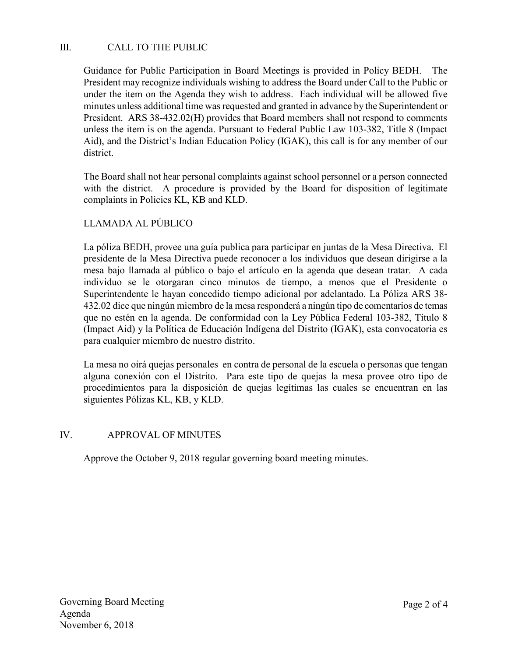# III. CALL TO THE PUBLIC

Guidance for Public Participation in Board Meetings is provided in Policy BEDH. The President may recognize individuals wishing to address the Board under Call to the Public or under the item on the Agenda they wish to address. Each individual will be allowed five minutes unless additional time was requested and granted in advance by the Superintendent or President. ARS 38-432.02(H) provides that Board members shall not respond to comments unless the item is on the agenda. Pursuant to Federal Public Law 103-382, Title 8 (Impact Aid), and the District's Indian Education Policy (IGAK), this call is for any member of our district.

The Board shall not hear personal complaints against school personnel or a person connected with the district. A procedure is provided by the Board for disposition of legitimate complaints in Policies KL, KB and KLD.

## LLAMADA AL PÚBLICO

La póliza BEDH, provee una guía publica para participar en juntas de la Mesa Directiva. El presidente de la Mesa Directiva puede reconocer a los individuos que desean dirigirse a la mesa bajo llamada al público o bajo el artículo en la agenda que desean tratar. A cada individuo se le otorgaran cinco minutos de tiempo, a menos que el Presidente o Superintendente le hayan concedido tiempo adicional por adelantado. La Póliza ARS 38- 432.02 dice que ningún miembro de la mesa responderá a ningún tipo de comentarios de temas que no estén en la agenda. De conformidad con la Ley Pública Federal 103-382, Título 8 (Impact Aid) y la Política de Educación Indígena del Distrito (IGAK), esta convocatoria es para cualquier miembro de nuestro distrito.

La mesa no oirá quejas personales en contra de personal de la escuela o personas que tengan alguna conexión con el Distrito. Para este tipo de quejas la mesa provee otro tipo de procedimientos para la disposición de quejas legítimas las cuales se encuentran en las siguientes Pólizas KL, KB, y KLD.

### IV. APPROVAL OF MINUTES

Approve the October 9, 2018 regular governing board meeting minutes.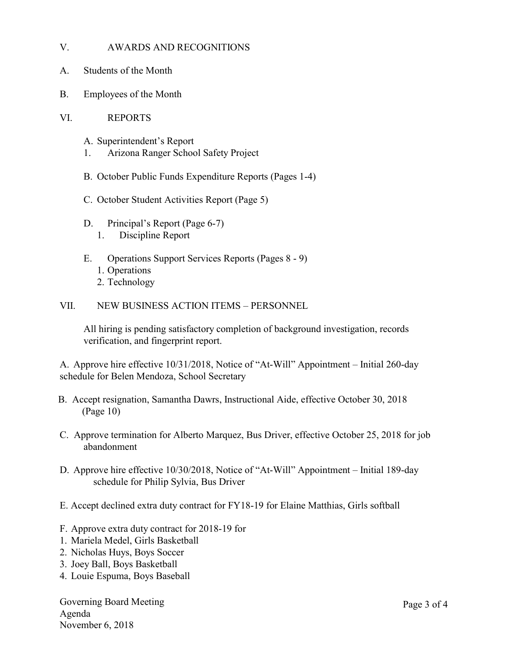### V. AWARDS AND RECOGNITIONS

- A. Students of the Month
- B. Employees of the Month
- VI. REPORTS
	- A. Superintendent's Report
	- 1. Arizona Ranger School Safety Project
	- B. October Public Funds Expenditure Reports (Pages 1-4)
	- C. October Student Activities Report (Page 5)
	- D. Principal's Report (Page 6-7)
		- 1. Discipline Report
	- E. Operations Support Services Reports (Pages 8 9)
		- 1. Operations
		- 2. Technology
- VII. NEW BUSINESS ACTION ITEMS PERSONNEL

All hiring is pending satisfactory completion of background investigation, records verification, and fingerprint report.

A. Approve hire effective 10/31/2018, Notice of "At-Will" Appointment – Initial 260-day schedule for Belen Mendoza, School Secretary

- B. Accept resignation, Samantha Dawrs, Instructional Aide, effective October 30, 2018 (Page 10)
- C. Approve termination for Alberto Marquez, Bus Driver, effective October 25, 2018 for job abandonment
- D. Approve hire effective 10/30/2018, Notice of "At-Will" Appointment Initial 189-day schedule for Philip Sylvia, Bus Driver
- E. Accept declined extra duty contract for FY18-19 for Elaine Matthias, Girls softball
- F. Approve extra duty contract for 2018-19 for
- 1. Mariela Medel, Girls Basketball
- 2. Nicholas Huys, Boys Soccer
- 3. Joey Ball, Boys Basketball
- 4. Louie Espuma, Boys Baseball

Governing Board Meeting Agenda November 6, 2018